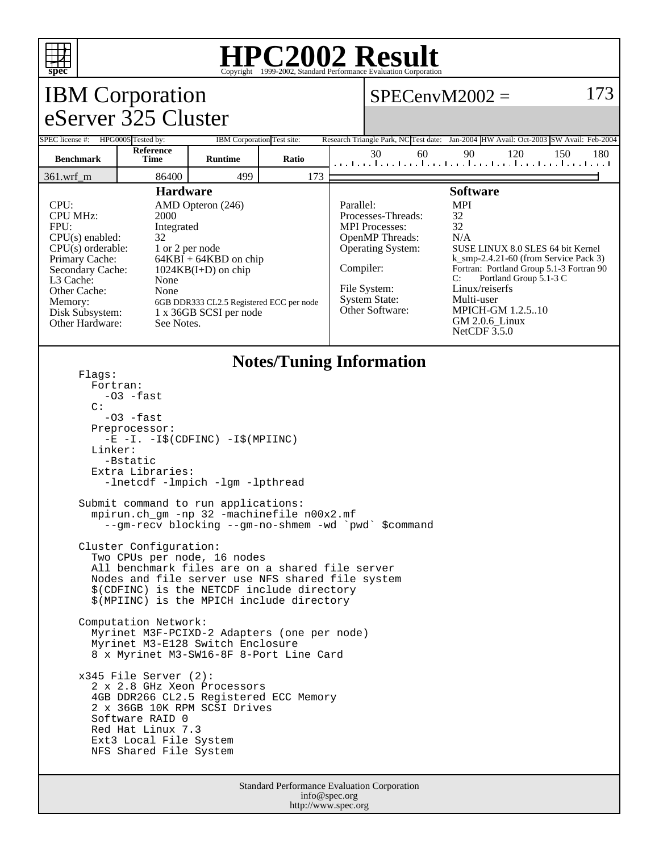

## **HPC2002 Result**

| $\mathbf{pcc}$<br>Copyright @1999-2002, Standard I Criormance Evaluation Corporation                                                                                                                                                                                                                                                                                                                                                         |                                                                                                                                                                                                                               |                            |                                 |  |                                                                                                                                                                          |                         |    |                                                                                                                                                                                                                                                                                                             |     |     |  |
|----------------------------------------------------------------------------------------------------------------------------------------------------------------------------------------------------------------------------------------------------------------------------------------------------------------------------------------------------------------------------------------------------------------------------------------------|-------------------------------------------------------------------------------------------------------------------------------------------------------------------------------------------------------------------------------|----------------------------|---------------------------------|--|--------------------------------------------------------------------------------------------------------------------------------------------------------------------------|-------------------------|----|-------------------------------------------------------------------------------------------------------------------------------------------------------------------------------------------------------------------------------------------------------------------------------------------------------------|-----|-----|--|
| <b>IBM</b> Corporation                                                                                                                                                                                                                                                                                                                                                                                                                       |                                                                                                                                                                                                                               |                            |                                 |  |                                                                                                                                                                          | 173<br>$SPECenvM2002 =$ |    |                                                                                                                                                                                                                                                                                                             |     |     |  |
| eServer 325 Cluster                                                                                                                                                                                                                                                                                                                                                                                                                          |                                                                                                                                                                                                                               |                            |                                 |  |                                                                                                                                                                          |                         |    |                                                                                                                                                                                                                                                                                                             |     |     |  |
| SPEC license #:                                                                                                                                                                                                                                                                                                                                                                                                                              | HPG0005 Tested by:                                                                                                                                                                                                            | IBM Corporation Test site: |                                 |  |                                                                                                                                                                          |                         |    | Research Triangle Park, NC Test date: Jan-2004 HW Avail: Oct-2003 SW Avail: Feb-2004                                                                                                                                                                                                                        |     |     |  |
| <b>Benchmark</b>                                                                                                                                                                                                                                                                                                                                                                                                                             | Reference<br><b>Time</b>                                                                                                                                                                                                      | <b>Runtime</b>             | Ratio                           |  | 30                                                                                                                                                                       | 60                      | 90 | 120<br>المتابينا وبالمناعب أعتبا وبأمينا وبأمينا وبأمينا وتراعي                                                                                                                                                                                                                                             | 150 | 180 |  |
| $361.wrf_m$                                                                                                                                                                                                                                                                                                                                                                                                                                  | 86400                                                                                                                                                                                                                         | 499                        | 173                             |  |                                                                                                                                                                          |                         |    |                                                                                                                                                                                                                                                                                                             |     |     |  |
| <b>Hardware</b><br>CPU:<br>AMD Opteron (246)<br><b>CPU MHz:</b><br>2000<br>FPU:<br>Integrated<br>CPU(s) enabled:<br>32<br>$CPU(s)$ orderable:<br>1 or 2 per node<br>Primary Cache:<br>$64KBI + 64KBD$ on chip<br>Secondary Cache:<br>$1024KB(I+D)$ on chip<br>L3 Cache:<br>None<br>Other Cache:<br>None<br>Memory:<br>6GB DDR333 CL2.5 Registered ECC per node<br>1 x 36GB SCSI per node<br>Disk Subsystem:<br>Other Hardware:<br>See Notes. |                                                                                                                                                                                                                               |                            |                                 |  | Parallel:<br>Processes-Threads:<br><b>MPI</b> Processes:<br>OpenMP Threads:<br>Operating System:<br>Compiler:<br>File System:<br><b>System State:</b><br>Other Software: |                         |    | <b>Software</b><br><b>MPI</b><br>32<br>32<br>N/A<br>SUSE LINUX 8.0 SLES 64 bit Kernel<br>$k$ _smp-2.4.21-60 (from Service Pack 3)<br>Fortran: Portland Group 5.1-3 Fortran 90<br>Portland Group 5.1-3 C<br>C:<br>Linux/reiserfs<br>Multi-user<br><b>MPICH-GM 1.2.5.10</b><br>GM 2.0.6_Linux<br>NetCDF 3.5.0 |     |     |  |
| Flaqs:<br>Fortran:<br>C:<br>Linker:                                                                                                                                                                                                                                                                                                                                                                                                          | $-03$ -fast<br>$-03$ $-fast$<br>Preprocessor:<br>$-E$ $-I. -I\$ (CDFINC) $-I\$ (MPIINC)<br>-Bstatic<br>Extra Libraries:<br>-lnetcdf -lmpich -lgm -lpthread                                                                    |                            | <b>Notes/Tuning Information</b> |  |                                                                                                                                                                          |                         |    |                                                                                                                                                                                                                                                                                                             |     |     |  |
|                                                                                                                                                                                                                                                                                                                                                                                                                                              | Submit command to run applications:<br>mpirun.ch_gm -np 32 -machinefile n00x2.mf<br>--gm-recv blocking --gm-no-shmem -wd `pwd` \$command<br>Cluster Configuration:                                                            |                            |                                 |  |                                                                                                                                                                          |                         |    |                                                                                                                                                                                                                                                                                                             |     |     |  |
|                                                                                                                                                                                                                                                                                                                                                                                                                                              | Two CPUs per node, 16 nodes<br>All benchmark files are on a shared file server<br>Nodes and file server use NFS shared file system<br>\$(CDFINC) is the NETCDF include directory<br>\$(MPIINC) is the MPICH include directory |                            |                                 |  |                                                                                                                                                                          |                         |    |                                                                                                                                                                                                                                                                                                             |     |     |  |
|                                                                                                                                                                                                                                                                                                                                                                                                                                              | Computation Network:<br>Myrinet M3F-PCIXD-2 Adapters (one per node)<br>Myrinet M3-E128 Switch Enclosure<br>8 x Myrinet M3-SW16-8F 8-Port Line Card                                                                            |                            |                                 |  |                                                                                                                                                                          |                         |    |                                                                                                                                                                                                                                                                                                             |     |     |  |
|                                                                                                                                                                                                                                                                                                                                                                                                                                              | $x345$ File Server (2):<br>2 x 2.8 GHz Xeon Processors<br>4GB DDR266 CL2.5 Registered ECC Memory<br>2 x 36GB 10K RPM SCSI Drives<br>Software RAID 0<br>Red Hat Linux 7.3<br>Ext3 Local File System<br>NFS Shared File System  |                            |                                 |  |                                                                                                                                                                          |                         |    |                                                                                                                                                                                                                                                                                                             |     |     |  |
| Standard Performance Evaluation Corporation                                                                                                                                                                                                                                                                                                                                                                                                  |                                                                                                                                                                                                                               |                            |                                 |  |                                                                                                                                                                          |                         |    |                                                                                                                                                                                                                                                                                                             |     |     |  |

info@spec.org http://www.spec.org